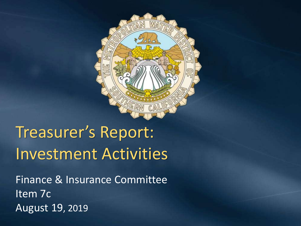

# Treasurer's Report: Investment Activities

Finance & Insurance Committee Item 7c August 19, 2019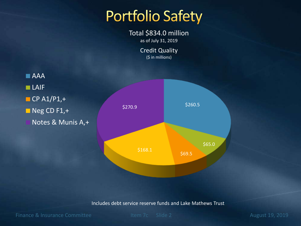### **Portfolio Safety**

Total \$834.0 million as of July 31, 2019

> Credit Quality (\$ in millions)



Includes debt service reserve funds and Lake Mathews Trust

Finance & Insurance Committee Item 7c Slide 2 August 19, 2019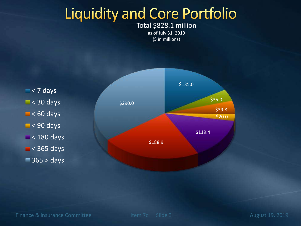### **Liquidity and Core Portfolio**

Total \$828.1 million as of July 31, 2019 (\$ in millions)

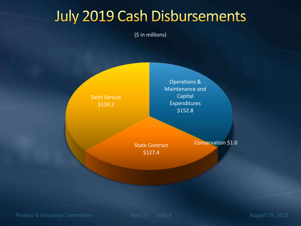### **July 2019 Cash Disbursements**

(\$ in millions)

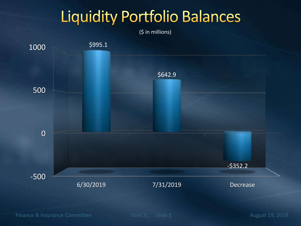### **Liquidity Portfolio Balances**

(\$ in millions)



Finance & Insurance Committee Item 7c Slide 5 August 19, 2019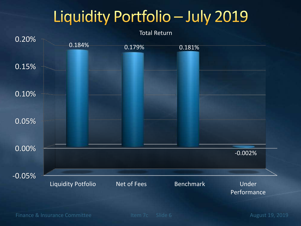# Liquidity Portfolio - July 2019



Finance & Insurance Committee Item 7c Slide 6 August 19, 2019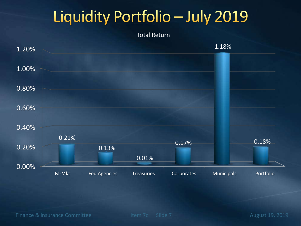# Liquidity Portfolio - July 2019

#### Total Return



Finance & Insurance Committee Item 7c Slide 7 August 19, 2019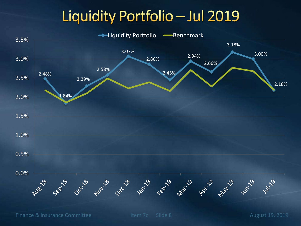### Liquidity Portfolio - Jul 2019



Finance & Insurance Committee Item 7c Slide 8 August 19, 2019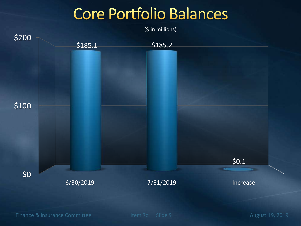### **Core Portfolio Balances**



Finance & Insurance Committee Item 7c Slide 9 August 19, 2019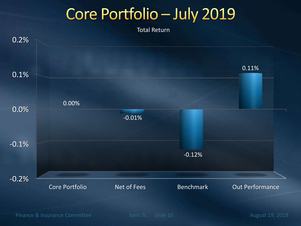### Core Portfolio - July 2019

Total Return



Finance & Insurance Committee Item 7c Slide 10 August 19, 2019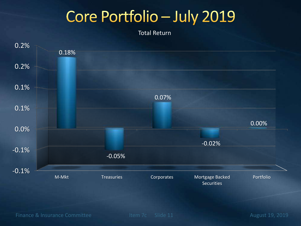### Core Portfolio - July 2019

Total Return



Finance & Insurance Committee Item 7c Slide 11 August 19, 2019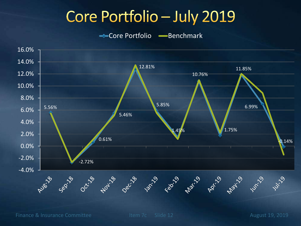### Core Portfolio - July 2019

Core Portfolio - Benchmark



Finance & Insurance Committee Item 7c Slide 12 August 19, 2019